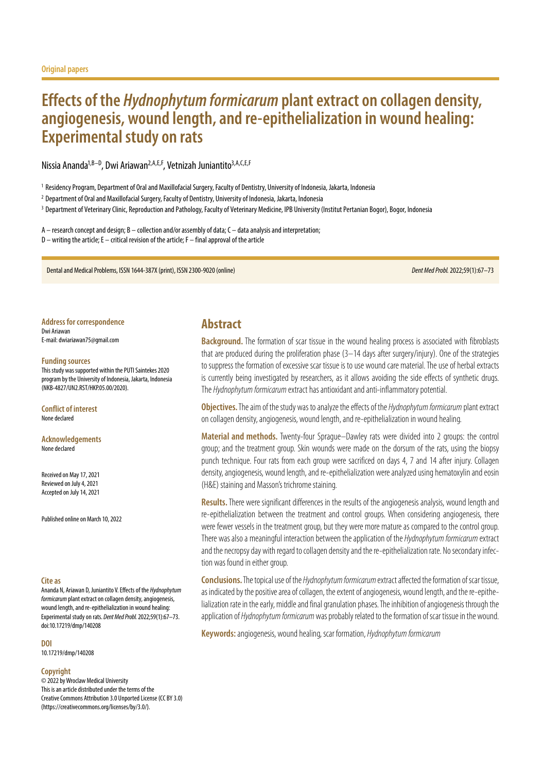# **Effects of the** *Hydnophytum formicarum* **plant extract on collagen density, angiogenesis, wound length, and re-epithelialization in wound healing: Experimental study on rats**

Nissia Ananda<sup>1, B–D</sup>, Dwi Ariawan<sup>2, A, E, F</sup>, Vetnizah Juniantito<sup>3, A, C, E, F</sup>

<sup>1</sup> Residency Program, Department of Oral and Maxillofacial Surgery, Faculty of Dentistry, University of Indonesia, Jakarta, Indonesia

<sup>2</sup> Department of Oral and Maxillofacial Surgery, Faculty of Dentistry, University of Indonesia, Jakarta, Indonesia

<sup>3</sup> Department of Veterinary Clinic, Reproduction and Pathology, Faculty of Veterinary Medicine, IPB University (Institut Pertanian Bogor), Bogor, Indonesia

A – research concept and design; B – collection and/or assembly of data; C – data analysis and interpretation; D – writing the article; E – critical revision of the article; F – final approval of the article

Dental and Medical Problems, ISSN 1644-387X (print), ISSN 2300-9020 (online) *Dent Med Probl.* 2022;59(1):67–73

**Address for correspondence** Dwi Ariawan E-mail: dwiariawan75@gmail.com

#### **Funding sources**

This study was supported within the PUTI Saintekes 2020 program by the University of Indonesia, Jakarta, Indonesia (NKB-4827/UN2.RST/HKP.05.00/2020).

**Conflict of interest** None declared

**Acknowledgements** None declared

Received on May 17, 2021 Reviewed on July 4, 2021 Accepted on July 14, 2021

Published online on March 10, 2022

### **Cite as**

Ananda N, Ariawan D, Juniantito V. Effects of the *Hydnophytum formicarum* plant extract on collagen density, angiogenesis, wound length, and re-epithelialization in wound healing: Experimental study on rats. *Dent Med Probl.* 2022;59(1):67–73. doi:10.17219/dmp/140208

**DOI**

10.17219/dmp/140208

#### **Copyright**

© 2022 by Wroclaw Medical University This is an article distributed under the terms of the Creative Commons Attribution 3.0 Unported License (CC BY 3.0) [\(https://creativecommons.org/licenses/by/3.0/\)](https://creativecommons.org/licenses/by/3.0/).

### **Abstract**

**Background.** The formation of scar tissue in the wound healing process is associated with fibroblasts that are produced during the proliferation phase (3–14 days after surgery/injury). One of the strategies to suppress the formation of excessive scar tissue is to use wound care material. The use of herbal extracts is currently being investigated by researchers, as it allows avoiding the side effects of synthetic drugs. The *Hydnophytum formicarum* extract has antioxidant and anti-inflammatory potential.

**Objectives.** The aim of the study was to analyze the effects of the *Hydnophytum formicarum* plant extract on collagen density, angiogenesis, wound length, and re-epithelialization in wound healing.

**Material and methods.** Twenty-four Sprague–Dawley rats were divided into 2 groups: the control group; and the treatment group. Skin wounds were made on the dorsum of the rats, using the biopsy punch technique. Four rats from each group were sacrificed on days 4, 7 and 14 after injury. Collagen density, angiogenesis, wound length, and re-epithelialization were analyzed using hematoxylin and eosin (H&E) staining and Masson's trichrome staining.

**Results.**There were significant differences in the results of the angiogenesis analysis, wound length and re-epithelialization between the treatment and control groups. When considering angiogenesis, there were fewer vessels in the treatment group, but they were more mature as compared to the control group. There was also a meaningful interaction between the application of the *Hydnophytum formicarum* extract and the necropsy day with regard to collagen density and the re-epithelialization rate. No secondary infection was found in either group.

**Conclusions.**The topical use of the *Hydnophytum formicarum* extract affected the formation of scar tissue, as indicated by the positive area of collagen, the extent of angiogenesis, wound length, and the re-epithelialization rate in the early, middle and final granulation phases. The inhibition of angiogenesis through the application of *Hydnophytum formicarum* was probably related to the formation of scar tissue in the wound.

**Keywords:** angiogenesis, wound healing, scar formation, *Hydnophytum formicarum*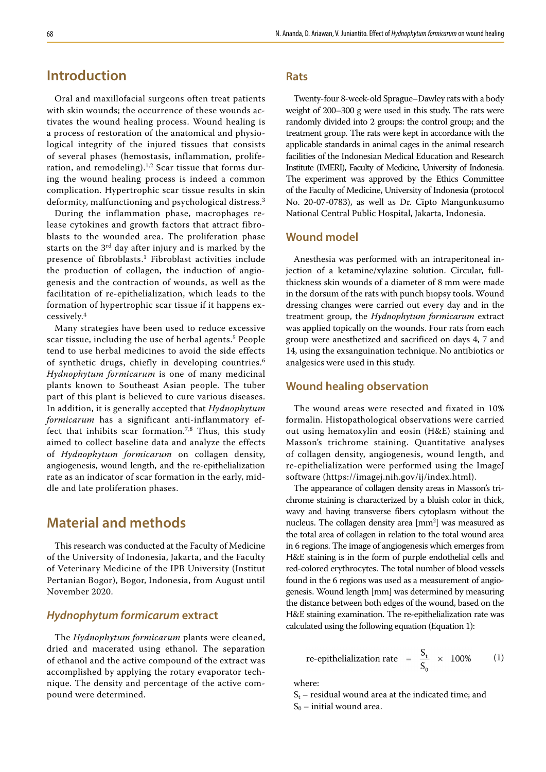## **Introduction**

Oral and maxillofacial surgeons often treat patients with skin wounds; the occurrence of these wounds activates the wound healing process. Wound healing is a process of restoration of the anatomical and physiological integrity of the injured tissues that consists of several phases (hemostasis, inflammation, proliferation, and remodeling).<sup>1,2</sup> Scar tissue that forms during the wound healing process is indeed a common complication. Hypertrophic scar tissue results in skin deformity, malfunctioning and psychological distress.<sup>3</sup>

During the inflammation phase, macrophages release cytokines and growth factors that attract fibroblasts to the wounded area. The proliferation phase starts on the 3<sup>rd</sup> day after injury and is marked by the presence of fibroblasts.<sup>1</sup> Fibroblast activities include the production of collagen, the induction of angiogenesis and the contraction of wounds, as well as the facilitation of re-epithelialization, which leads to the formation of hypertrophic scar tissue if it happens excessively.<sup>4</sup>

Many strategies have been used to reduce excessive scar tissue, including the use of herbal agents.<sup>5</sup> People tend to use herbal medicines to avoid the side effects of synthetic drugs, chiefly in developing countries.<sup>6</sup> *Hydnophytum formicarum* is one of many medicinal plants known to Southeast Asian people. The tuber part of this plant is believed to cure various diseases. In addition, it is generally accepted that *Hydnophytum formicarum* has a significant anti-inflammatory effect that inhibits scar formation.7,8 Thus, this study aimed to collect baseline data and analyze the effects of *Hydnophytum formicarum* on collagen density, angiogenesis, wound length, and the re-epithelialization rate as an indicator of scar formation in the early, middle and late proliferation phases.

## **Material and methods**

This research was conducted at the Faculty of Medicine of the University of Indonesia, Jakarta, and the Faculty of Veterinary Medicine of the IPB University (Institut Pertanian Bogor), Bogor, Indonesia, from August until November 2020.

### *Hydnophytum formicarum* **extract**

The *Hydnophytum formicarum* plants were cleaned, dried and macerated using ethanol. The separation of ethanol and the active compound of the extract was accomplished by applying the rotary evaporator technique. The density and percentage of the active compound were determined.

#### **Rats**

Twenty-four 8-week-old Sprague–Dawley rats with a body weight of 200–300 g were used in this study. The rats were randomly divided into 2 groups: the control group; and the treatment group. The rats were kept in accordance with the applicable standards in animal cages in the animal research facilities of the Indonesian Medical Education and Research Institute (IMERI), Faculty of Medicine, University of Indonesia. The experiment was approved by the Ethics Committee of the Faculty of Medicine, University of Indonesia (protocol No. 20-07-0783), as well as Dr. Cipto Mangunkusumo National Central Public Hospital, Jakarta, Indonesia.

### **Wound model**

Anesthesia was performed with an intraperitoneal injection of a ketamine/xylazine solution. Circular, fullthickness skin wounds of a diameter of 8 mm were made in the dorsum of the rats with punch biopsy tools. Wound dressing changes were carried out every day and in the treatment group, the *Hydnophytum formicarum* extract was applied topically on the wounds. Four rats from each group were anesthetized and sacrificed on days 4, 7 and 14, using the exsanguination technique. No antibiotics or analgesics were used in this study.

### **Wound healing observation**

The wound areas were resected and fixated in 10% formalin. Histopathological observations were carried out using hematoxylin and eosin (H&E) staining and Masson's trichrome staining. Quantitative analyses of collagen density, angiogenesis, wound length, and re-epithelialization were performed using the ImageJ software ([https://imagej.nih.gov/ij/index.html\)](https://imagej.nih.gov/ij/index.html).

The appearance of collagen density areas in Masson's trichrome staining is characterized by a bluish color in thick, wavy and having transverse fibers cytoplasm without the nucleus. The collagen density area [mm<sup>2</sup>] was measured as the total area of collagen in relation to the total wound area in 6 regions. The image of angiogenesis which emerges from H&E staining is in the form of purple endothelial cells and red-colored erythrocytes. The total number of blood vessels found in the 6 regions was used as a measurement of angiogenesis. Wound length [mm] was determined by measuring the distance between both edges of the wound, based on the H&E staining examination. The re-epithelialization rate was calculated using the following equation (Equation 1):

re-epithelialization rate = 
$$
\frac{S_t}{S_0}
$$
 × 100% (1)

where:

 $S_t$  – residual wound area at the indicated time; and  $S_0$  – initial wound area.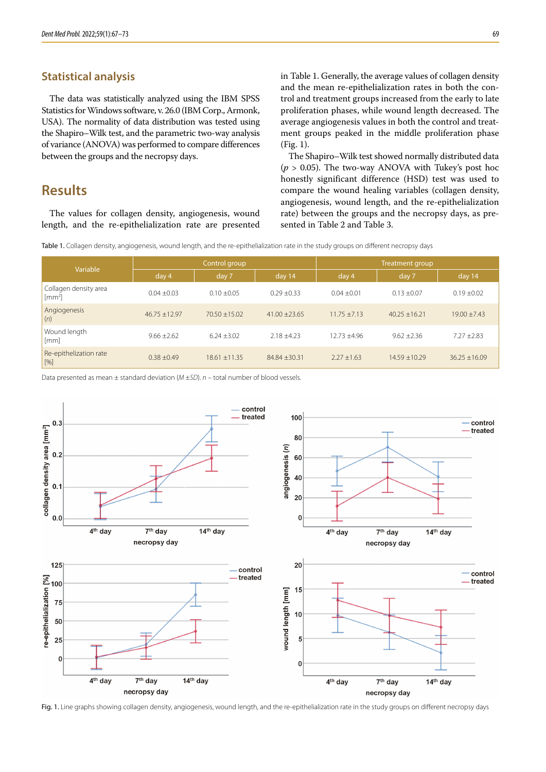### **Statistical analysis**

The data was statistically analyzed using the IBM SPSS Statistics for Windows software, v. 26.0 (IBM Corp., Armonk, USA). The normality of data distribution was tested using the Shapiro–Wilk test, and the parametric two-way analysis of variance (ANOVA) was performed to compare differences between the groups and the necropsy days.

## **Results**

The values for collagen density, angiogenesis, wound length, and the re-epithelialization rate are presented in Table 1. Generally, the average values of collagen density and the mean re-epithelialization rates in both the control and treatment groups increased from the early to late proliferation phases, while wound length decreased. The average angiogenesis values in both the control and treatment groups peaked in the middle proliferation phase (Fig. 1).

The Shapiro–Wilk test showed normally distributed data ( $p > 0.05$ ). The two-way ANOVA with Tukey's post hoc honestly significant difference (HSD) test was used to compare the wound healing variables (collagen density, angiogenesis, wound length, and the re-epithelialization rate) between the groups and the necropsy days, as presented in Table 2 and Table 3.

Table 1. Collagen density, angiogenesis, wound length, and the re-epithelialization rate in the study groups on different necropsy days

| Variable                                            | Control group   |                   |                   | Treatment group  |                   |                 |
|-----------------------------------------------------|-----------------|-------------------|-------------------|------------------|-------------------|-----------------|
|                                                     | day 4           | day 7             | day 14            | day 4            | day 7             | day 14          |
| Collagen density area<br>$\left[\text{mm}^2\right]$ | $0.04 \pm 0.03$ | $0.10 + 0.05$     | $0.29 + 0.33$     | $0.04 + 0.01$    | $0.13 + 0.07$     | $0.19 \pm 0.02$ |
| Angiogenesis<br>(n)                                 | $46.75 + 12.97$ | $70.50 + 15.02$   | $41.00 \pm 23.65$ | $11.75 + 7.13$   | $40.25 + 16.21$   | $19.00 + 7.43$  |
| Wound length<br>[mm]                                | $9.66 \pm 2.62$ | $6.24 \pm 3.02$   | $2.18 + 4.23$     | $12.73 \pm 4.96$ | $9.62 + 2.36$     | $7.27 \pm 2.83$ |
| Re-epithelization rate<br>$[%]$                     | $0.38 + 0.49$   | $18.61 \pm 11.35$ | 84.84 ±30.31      | $2.27 \pm 1.63$  | $14.59 \pm 10.29$ | $36.25 + 16.09$ |

Data presented as mean ± standard deviation (*M* ±*SD*). *n* – total number of blood vessels.



Fig. 1. Line graphs showing collagen density, angiogenesis, wound length, and the re-epithelialization rate in the study groups on different necropsy days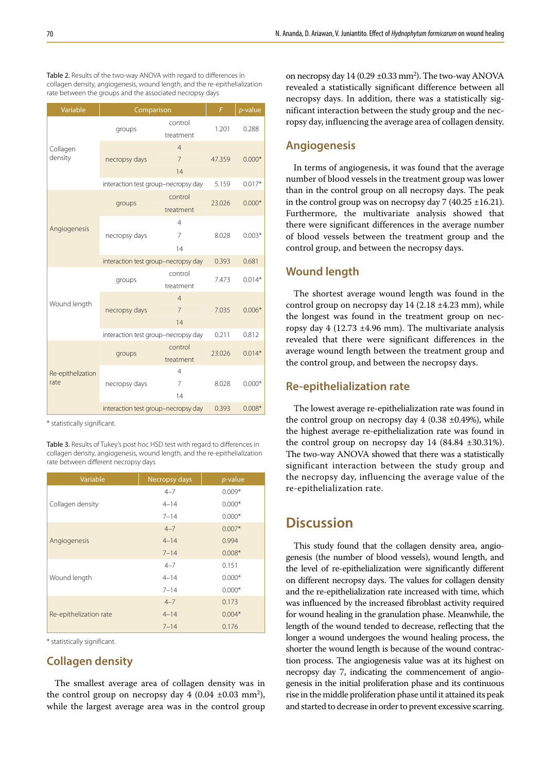Table 2. Results of the two-way ANOVA with regard to differences in collagen density, angiogenesis, wound length, and the re-epithelialization rate between the groups and the associated necropsy days

| Variable            | Comparison                          | F                    | p-value  |          |
|---------------------|-------------------------------------|----------------------|----------|----------|
| Collagen<br>density | groups                              | control<br>treatment | 1.201    | 0.288    |
|                     |                                     | $\overline{4}$       |          |          |
|                     | necropsy days                       | $\overline{7}$       | 47.359   | $0.000*$ |
|                     |                                     | 14                   |          |          |
|                     | interaction test group-necropsy day | 5.159                | $0.017*$ |          |
|                     |                                     | control              |          | $0.000*$ |
|                     | groups                              | treatment            | 23.026   |          |
|                     |                                     | $\overline{4}$       |          | $0.003*$ |
| Angiogenesis        | necropsy days                       | $\overline{7}$       | 8.028    |          |
|                     |                                     | 14                   |          |          |
|                     | interaction test group-necropsy day | 0.393                | 0.681    |          |
|                     |                                     | control              | 7.473    | $0.014*$ |
|                     | groups                              | treatment            |          |          |
| Wound length        |                                     | $\overline{4}$       |          | $0.006*$ |
|                     | necropsy days                       | $\overline{7}$       | 7.035    |          |
|                     |                                     | 14                   |          |          |
|                     | interaction test group-necropsy day | 0.211                | 0.812    |          |
|                     | groups                              | control              | 23.026   | $0.014*$ |
|                     |                                     | treatment            |          |          |
| Re-epithelization   |                                     | 4                    |          |          |
| rate                | necropsy days                       | 7                    | 8.028    | $0.000*$ |
|                     |                                     | 14                   |          |          |
|                     | interaction test group-necropsy day | 0.393                | $0.008*$ |          |

\* statistically significant.

Table 3. Results of Tukey's post hoc HSD test with regard to differences in collagen density, angiogenesis, wound length, and the re-epithelialization rate between different necropsy days

| Variable               | Necropsy days | $p$ -value |  |
|------------------------|---------------|------------|--|
|                        | $4 - 7$       | $0.009*$   |  |
| Collagen density       | $4 - 14$      | $0.000*$   |  |
|                        | $7 - 14$      | $0.000*$   |  |
|                        | $4 - 7$       | $0.007*$   |  |
| Angiogenesis           | $4 - 14$      | 0.994      |  |
|                        | $7 - 14$      | $0.008*$   |  |
|                        | $4 - 7$       | 0.151      |  |
| Wound length           | $4 - 14$      | $0.000*$   |  |
|                        | $7 - 14$      | $0.000*$   |  |
|                        | $4 - 7$       | 0.173      |  |
| Re-epithelization rate | $4 - 14$      | $0.004*$   |  |
|                        | $7 - 14$      | 0.176      |  |

\* statistically significant.

### **Collagen density**

The smallest average area of collagen density was in the control group on necropsy day  $4(0.04 \pm 0.03 \text{ mm}^2)$ , while the largest average area was in the control group

on necropsy day  $14(0.29 \pm 0.33 \text{ mm}^2)$ . The two-way ANOVA revealed a statistically significant difference between all necropsy days. In addition, there was a statistically significant interaction between the study group and the necropsy day, influencing the average area of collagen density.

#### **Angiogenesis**

In terms of angiogenesis, it was found that the average number of blood vessels in the treatment group was lower than in the control group on all necropsy days. The peak in the control group was on necropsy day  $7(40.25 \pm 16.21)$ . Furthermore, the multivariate analysis showed that there were significant differences in the average number of blood vessels between the treatment group and the control group, and between the necropsy days.

### **Wound length**

The shortest average wound length was found in the control group on necropsy day 14 (2.18 ±4.23 mm), while the longest was found in the treatment group on necropsy day  $4$  (12.73  $\pm 4.96$  mm). The multivariate analysis revealed that there were significant differences in the average wound length between the treatment group and the control group, and between the necropsy days.

### **Re-epithelialization rate**

The lowest average re-epithelialization rate was found in the control group on necropsy day  $4$  (0.38  $\pm$ 0.49%), while the highest average re-epithelialization rate was found in the control group on necropsy day  $14$   $(84.84 \pm 30.31\%)$ . The two-way ANOVA showed that there was a statistically significant interaction between the study group and the necropsy day, influencing the average value of the re-epithelialization rate.

## **Discussion**

This study found that the collagen density area, angiogenesis (the number of blood vessels), wound length, and the level of re-epithelialization were significantly different on different necropsy days. The values for collagen density and the re-epithelialization rate increased with time, which was influenced by the increased fibroblast activity required for wound healing in the granulation phase. Meanwhile, the length of the wound tended to decrease, reflecting that the longer a wound undergoes the wound healing process, the shorter the wound length is because of the wound contraction process. The angiogenesis value was at its highest on necropsy day 7, indicating the commencement of angiogenesis in the initial proliferation phase and its continuous rise in the middle proliferation phase until it attained its peak and started to decrease in order to prevent excessive scarring.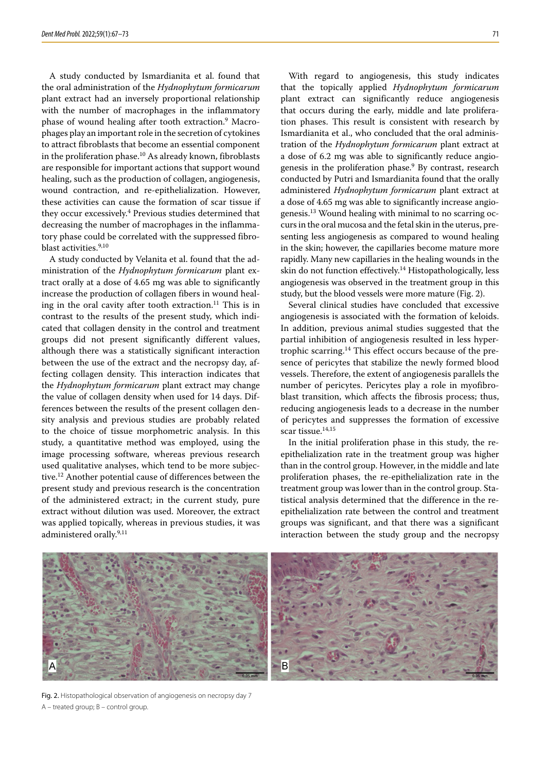A study conducted by Ismardianita et al. found that the oral administration of the *Hydnophytum formicarum* plant extract had an inversely proportional relationship with the number of macrophages in the inflammatory phase of wound healing after tooth extraction.<sup>9</sup> Macrophages play an important role in the secretion of cytokines to attract fibroblasts that become an essential component in the proliferation phase.<sup>10</sup> As already known, fibroblasts are responsible for important actions that support wound healing, such as the production of collagen, angiogenesis, wound contraction, and re-epithelialization. However, these activities can cause the formation of scar tissue if they occur excessively.4 Previous studies determined that decreasing the number of macrophages in the inflammatory phase could be correlated with the suppressed fibroblast activities.<sup>9,10</sup>

A study conducted by Velanita et al. found that the administration of the *Hydnophytum formicarum* plant extract orally at a dose of 4.65 mg was able to significantly increase the production of collagen fibers in wound healing in the oral cavity after tooth extraction.<sup>11</sup> This is in contrast to the results of the present study, which indicated that collagen density in the control and treatment groups did not present significantly different values, although there was a statistically significant interaction between the use of the extract and the necropsy day, affecting collagen density. This interaction indicates that the *Hydnophytum formicarum* plant extract may change the value of collagen density when used for 14 days. Differences between the results of the present collagen density analysis and previous studies are probably related to the choice of tissue morphometric analysis. In this study, a quantitative method was employed, using the image processing software, whereas previous research used qualitative analyses, which tend to be more subjective.12 Another potential cause of differences between the present study and previous research is the concentration of the administered extract; in the current study, pure extract without dilution was used. Moreover, the extract was applied topically, whereas in previous studies, it was administered orally.<sup>9,11</sup>

With regard to angiogenesis, this study indicates that the topically applied *Hydnophytum formicarum* plant extract can significantly reduce angiogenesis that occurs during the early, middle and late proliferation phases. This result is consistent with research by Ismardianita et al., who concluded that the oral administration of the *Hydnophytum formicarum* plant extract at a dose of 6.2 mg was able to significantly reduce angiogenesis in the proliferation phase.<sup>9</sup> By contrast, research conducted by Putri and Ismardianita found that the orally administered *Hydnophytum formicarum* plant extract at a dose of 4.65 mg was able to significantly increase angiogenesis.13 Wound healing with minimal to no scarring occurs in the oral mucosa and the fetal skin in the uterus, presenting less angiogenesis as compared to wound healing in the skin; however, the capillaries become mature more rapidly. Many new capillaries in the healing wounds in the skin do not function effectively.14 Histopathologically, less angiogenesis was observed in the treatment group in this study, but the blood vessels were more mature (Fig. 2).

Several clinical studies have concluded that excessive angiogenesis is associated with the formation of keloids. In addition, previous animal studies suggested that the partial inhibition of angiogenesis resulted in less hypertrophic scarring.14 This effect occurs because of the presence of pericytes that stabilize the newly formed blood vessels. Therefore, the extent of angiogenesis parallels the number of pericytes. Pericytes play a role in myofibroblast transition, which affects the fibrosis process; thus, reducing angiogenesis leads to a decrease in the number of pericytes and suppresses the formation of excessive scar tissue. $14,15$ 

In the initial proliferation phase in this study, the reepithelialization rate in the treatment group was higher than in the control group. However, in the middle and late proliferation phases, the re-epithelialization rate in the treatment group was lower than in the control group. Statistical analysis determined that the difference in the reepithelialization rate between the control and treatment groups was significant, and that there was a significant interaction between the study group and the necropsy



Fig. 2. Histopathological observation of angiogenesis on necropsy day 7 A – treated group; B – control group.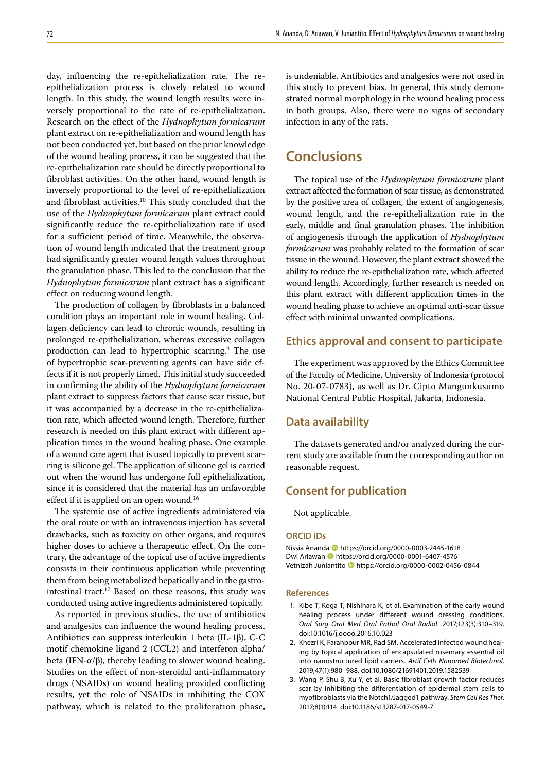day, influencing the re-epithelialization rate. The reepithelialization process is closely related to wound length. In this study, the wound length results were inversely proportional to the rate of re-epithelialization. Research on the effect of the *Hydnophytum formicarum* plant extract on re-epithelialization and wound length has not been conducted yet, but based on the prior knowledge of the wound healing process, it can be suggested that the re-epithelialization rate should be directly proportional to fibroblast activities. On the other hand, wound length is inversely proportional to the level of re-epithelialization and fibroblast activities.10 This study concluded that the use of the *Hydnophytum formicarum* plant extract could significantly reduce the re-epithelialization rate if used for a sufficient period of time. Meanwhile, the observation of wound length indicated that the treatment group had significantly greater wound length values throughout the granulation phase. This led to the conclusion that the *Hydnophytum formicarum* plant extract has a significant effect on reducing wound length.

The production of collagen by fibroblasts in a balanced condition plays an important role in wound healing. Collagen deficiency can lead to chronic wounds, resulting in prolonged re-epithelialization, whereas excessive collagen production can lead to hypertrophic scarring.4 The use of hypertrophic scar-preventing agents can have side effects if it is not properly timed. This initial study succeeded in confirming the ability of the *Hydnophytum formicarum* plant extract to suppress factors that cause scar tissue, but it was accompanied by a decrease in the re-epithelialization rate, which affected wound length. Therefore, further research is needed on this plant extract with different application times in the wound healing phase. One example of a wound care agent that is used topically to prevent scarring is silicone gel. The application of silicone gel is carried out when the wound has undergone full epithelialization, since it is considered that the material has an unfavorable effect if it is applied on an open wound.<sup>16</sup>

The systemic use of active ingredients administered via the oral route or with an intravenous injection has several drawbacks, such as toxicity on other organs, and requires higher doses to achieve a therapeutic effect. On the contrary, the advantage of the topical use of active ingredients consists in their continuous application while preventing them from being metabolized hepatically and in the gastrointestinal tract.<sup>17</sup> Based on these reasons, this study was conducted using active ingredients administered topically.

As reported in previous studies, the use of antibiotics and analgesics can influence the wound healing process. Antibiotics can suppress interleukin 1 beta (IL-1β), C-C motif chemokine ligand 2 (CCL2) and interferon alpha/ beta (IFN- $\alpha/\beta$ ), thereby leading to slower wound healing. Studies on the effect of non-steroidal anti-inflammatory drugs (NSAIDs) on wound healing provided conflicting results, yet the role of NSAIDs in inhibiting the COX pathway, which is related to the proliferation phase,

is undeniable. Antibiotics and analgesics were not used in this study to prevent bias. In general, this study demonstrated normal morphology in the wound healing process in both groups. Also, there were no signs of secondary infection in any of the rats.

## **Conclusions**

The topical use of the *Hydnophytum formicarum* plant extract affected the formation of scar tissue, as demonstrated by the positive area of collagen, the extent of angiogenesis, wound length, and the re-epithelialization rate in the early, middle and final granulation phases. The inhibition of angiogenesis through the application of *Hydnophytum formicarum* was probably related to the formation of scar tissue in the wound. However, the plant extract showed the ability to reduce the re-epithelialization rate, which affected wound length. Accordingly, further research is needed on this plant extract with different application times in the wound healing phase to achieve an optimal anti-scar tissue effect with minimal unwanted complications.

### **Ethics approval and consent to participate**

The experiment was approved by the Ethics Committee of the Faculty of Medicine, University of Indonesia (protocol No. 20-07-0783), as well as Dr. Cipto Mangunkusumo National Central Public Hospital, Jakarta, Indonesia.

### **Data availability**

The datasets generated and/or analyzed during the current study are available from the corresponding author on reasonable request.

### **Consent for publication**

Not applicable.

#### **ORCID iDs**

Nissia Ananda https://orcid.org/0000-0003-2445-1618 Dwi Ariawan **b** https://orcid.org/0000-0001-6407-4576 Vetnizah Juniantito https://orcid.org/0000-0002-0456-0844

#### **References**

- 1. Kibe T, Koga T, Nishihara K, et al. Examination of the early wound healing process under different wound dressing conditions. *Oral Surg Oral Med Oral Pathol Oral Radiol*. 2017;123(3):310–319. doi:10.1016/j.oooo.2016.10.023
- 2. Khezri K, Farahpour MR, Rad SM. Accelerated infected wound healing by topical application of encapsulated rosemary essential oil into nanostructured lipid carriers. *Artif Cells Nanomed Biotechnol*. 2019;47(1):980–988. doi:10.1080/21691401.2019.1582539
- 3. Wang P, Shu B, Xu Y, et al. Basic fibroblast growth factor reduces scar by inhibiting the differentiation of epidermal stem cells to myofibroblasts via the Notch1/Jagged1 pathway. *Stem Cell Res Ther*. 2017;8(1):114. doi:10.1186/s13287-017-0549-7